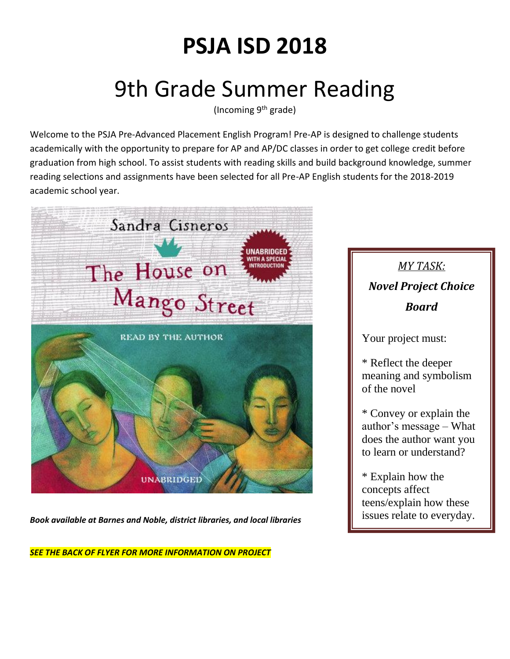## **PSJA ISD 2018**

## 9th Grade Summer Reading

(Incoming  $9<sup>th</sup>$  grade)

Welcome to the PSJA Pre-Advanced Placement English Program! Pre-AP is designed to challenge students academically with the opportunity to prepare for AP and AP/DC classes in order to get college credit before graduation from high school. To assist students with reading skills and build background knowledge, summer reading selections and assignments have been selected for all Pre-AP English students for the 2018-2019 academic school year.



*Book available at Barnes and Noble, district libraries, and local libraries*

*SEE THE BACK OF FLYER FOR MORE INFORMATION ON PROJECT*

## *MY TASK: Novel Project Choice Board*

Your project must:

\* Reflect the deeper meaning and symbolism of the novel

\* Convey or explain the author's message – What does the author want you to learn or understand?

\* Explain how the concepts affect teens/explain how these issues relate to everyday.

life?